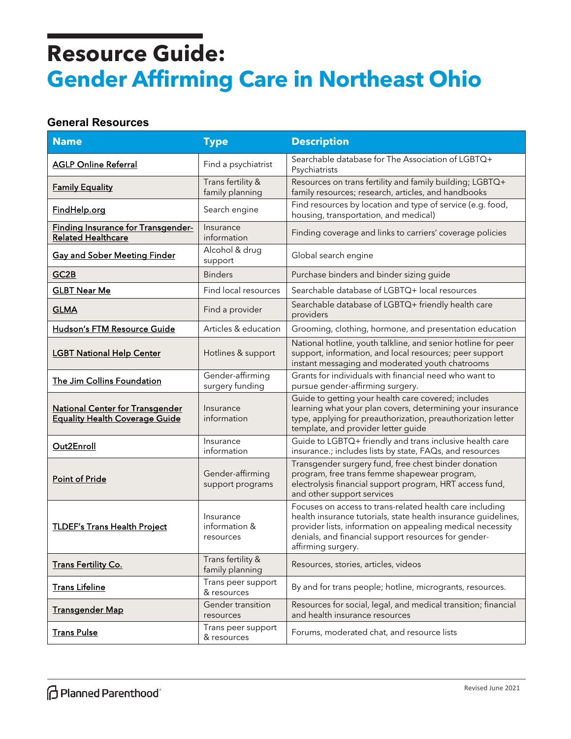#### **General Resources**

| <b>Name</b>                                                                     | <b>Type</b>                             | <b>Description</b>                                                                                                                                                                                                                                                     |
|---------------------------------------------------------------------------------|-----------------------------------------|------------------------------------------------------------------------------------------------------------------------------------------------------------------------------------------------------------------------------------------------------------------------|
| <b>AGLP Online Referral</b>                                                     | Find a psychiatrist                     | Searchable database for The Association of LGBTQ+<br>Psychiatrists                                                                                                                                                                                                     |
| <b>Family Equality</b>                                                          | Trans fertility &<br>family planning    | Resources on trans fertility and family building; LGBTQ+<br>family resources; research, articles, and handbooks                                                                                                                                                        |
| FindHelp.org                                                                    | Search engine                           | Find resources by location and type of service (e.g. food,<br>housing, transportation, and medical)                                                                                                                                                                    |
| <b>Finding Insurance for Transgender-</b><br><b>Related Healthcare</b>          | Insurance<br>information                | Finding coverage and links to carriers' coverage policies                                                                                                                                                                                                              |
| <b>Gay and Sober Meeting Finder</b>                                             | Alcohol & drug<br>support               | Global search engine                                                                                                                                                                                                                                                   |
| GC2B                                                                            | <b>Binders</b>                          | Purchase binders and binder sizing guide                                                                                                                                                                                                                               |
| <b>GLBT Near Me</b>                                                             | Find local resources                    | Searchable database of LGBTQ+ local resources                                                                                                                                                                                                                          |
| <b>GLMA</b>                                                                     | Find a provider                         | Searchable database of LGBTQ+ friendly health care<br>providers                                                                                                                                                                                                        |
| Hudson's FTM Resource Guide                                                     | Articles & education                    | Grooming, clothing, hormone, and presentation education                                                                                                                                                                                                                |
| <b>LGBT National Help Center</b>                                                | Hotlines & support                      | National hotline, youth talkline, and senior hotline for peer<br>support, information, and local resources; peer support<br>instant messaging and moderated youth chatrooms                                                                                            |
| The Jim Collins Foundation                                                      | Gender-affirming<br>surgery funding     | Grants for individuals with financial need who want to<br>pursue gender-affirming surgery.                                                                                                                                                                             |
| <b>National Center for Transgender</b><br><b>Equality Health Coverage Guide</b> | Insurance<br>information                | Guide to getting your health care covered; includes<br>learning what your plan covers, determining your insurance<br>type, applying for preauthorization, preauthorization letter<br>template, and provider letter guide                                               |
| Out2Enroll                                                                      | Insurance<br>information                | Guide to LGBTQ+ friendly and trans inclusive health care<br>insurance.; includes lists by state, FAQs, and resources                                                                                                                                                   |
| Point of Pride                                                                  | Gender-affirming<br>support programs    | Transgender surgery fund, free chest binder donation<br>program, free trans femme shapewear program,<br>electrolysis financial support program, HRT access fund,<br>and other support services                                                                         |
| <b>TLDEF's Trans Health Project</b>                                             | Insurance<br>information &<br>resources | Focuses on access to trans-related health care including<br>health insurance tutorials, state health insurance guidelines,<br>provider lists, information on appealing medical necessity<br>denials, and financial support resources for gender-<br>affirming surgery. |
| <b>Trans Fertility Co.</b>                                                      | Trans fertility &<br>family planning    | Resources, stories, articles, videos                                                                                                                                                                                                                                   |
| <b>Trans Lifeline</b>                                                           | Trans peer support<br>& resources       | By and for trans people; hotline, microgrants, resources.                                                                                                                                                                                                              |
| <b>Transgender Map</b>                                                          | Gender transition<br>resources          | Resources for social, legal, and medical transition; financial<br>and health insurance resources                                                                                                                                                                       |
| <b>Trans Pulse</b>                                                              | Trans peer support<br>& resources       | Forums, moderated chat, and resource lists                                                                                                                                                                                                                             |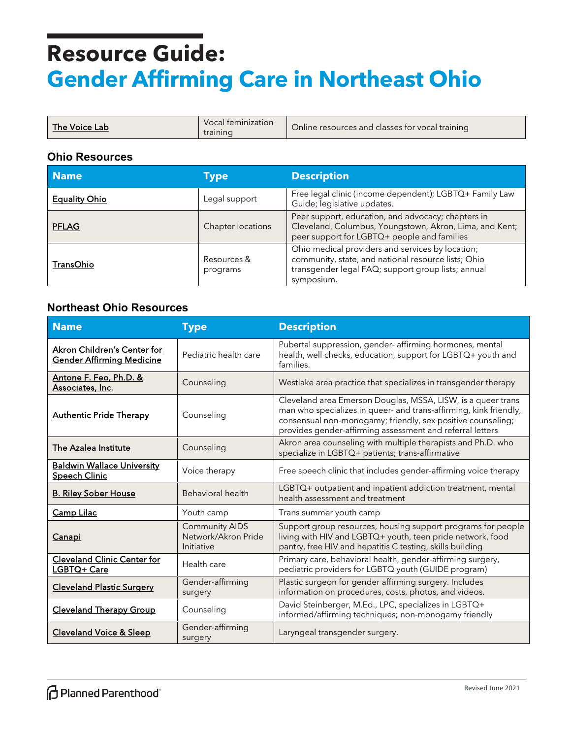| The Voice Labi<br>training | Vocal teminization | Online resources and classes for vocal training |
|----------------------------|--------------------|-------------------------------------------------|
|----------------------------|--------------------|-------------------------------------------------|

#### **Ohio Resources**

| <b>Name</b>          | Type                    | <b>Description</b>                                                                                                                                                          |
|----------------------|-------------------------|-----------------------------------------------------------------------------------------------------------------------------------------------------------------------------|
| <b>Equality Ohio</b> | Legal support           | Free legal clinic (income dependent); LGBTQ+ Family Law<br>Guide; legislative updates.                                                                                      |
| <b>PFLAG</b>         | Chapter locations       | Peer support, education, and advocacy; chapters in<br>Cleveland, Columbus, Youngstown, Akron, Lima, and Kent;<br>peer support for LGBTQ+ people and families                |
| TransOhio            | Resources &<br>programs | Ohio medical providers and services by location;<br>community, state, and national resource lists; Ohio<br>transgender legal FAQ; support group lists; annual<br>symposium. |

### **Northeast Ohio Resources**

| <b>Name</b>                                                     | <b>Type</b>                                                | <b>Description</b>                                                                                                                                                                                                                                            |
|-----------------------------------------------------------------|------------------------------------------------------------|---------------------------------------------------------------------------------------------------------------------------------------------------------------------------------------------------------------------------------------------------------------|
| Akron Children's Center for<br><b>Gender Affirming Medicine</b> | Pediatric health care                                      | Pubertal suppression, gender- affirming hormones, mental<br>health, well checks, education, support for LGBTQ+ youth and<br>families.                                                                                                                         |
| Antone F. Feo, Ph.D. &<br>Associates, Inc.                      | Counseling                                                 | Westlake area practice that specializes in transgender therapy                                                                                                                                                                                                |
| <b>Authentic Pride Therapy</b>                                  | Counseling                                                 | Cleveland area Emerson Douglas, MSSA, LISW, is a queer trans<br>man who specializes in queer- and trans-affirming, kink friendly,<br>consensual non-monogamy; friendly, sex positive counseling;<br>provides gender-affirming assessment and referral letters |
| The Azalea Institute                                            | Counseling                                                 | Akron area counseling with multiple therapists and Ph.D. who<br>specialize in LGBTQ+ patients; trans-affirmative                                                                                                                                              |
| <b>Baldwin Wallace University</b><br>Speech Clinic              | Voice therapy                                              | Free speech clinic that includes gender-affirming voice therapy                                                                                                                                                                                               |
| <b>B. Riley Sober House</b>                                     | Behavioral health                                          | LGBTQ+ outpatient and inpatient addiction treatment, mental<br>health assessment and treatment                                                                                                                                                                |
| Camp Lilac                                                      | Youth camp                                                 | Trans summer youth camp                                                                                                                                                                                                                                       |
| <b>Canapi</b>                                                   | <b>Community AIDS</b><br>Network/Akron Pride<br>Initiative | Support group resources, housing support programs for people<br>living with HIV and LGBTQ+ youth, teen pride network, food<br>pantry, free HIV and hepatitis C testing, skills building                                                                       |
| <b>Cleveland Clinic Center for</b><br>LGBTQ+ Care               | Health care                                                | Primary care, behavioral health, gender-affirming surgery,<br>pediatric providers for LGBTQ youth (GUIDE program)                                                                                                                                             |
| <b>Cleveland Plastic Surgery</b>                                | Gender-affirming<br>surgery                                | Plastic surgeon for gender affirming surgery. Includes<br>information on procedures, costs, photos, and videos.                                                                                                                                               |
| <b>Cleveland Therapy Group</b>                                  | Counseling                                                 | David Steinberger, M.Ed., LPC, specializes in LGBTQ+<br>informed/affirming techniques; non-monogamy friendly                                                                                                                                                  |
| <b>Cleveland Voice &amp; Sleep</b>                              | Gender-affirming<br>surgery                                | Laryngeal transgender surgery.                                                                                                                                                                                                                                |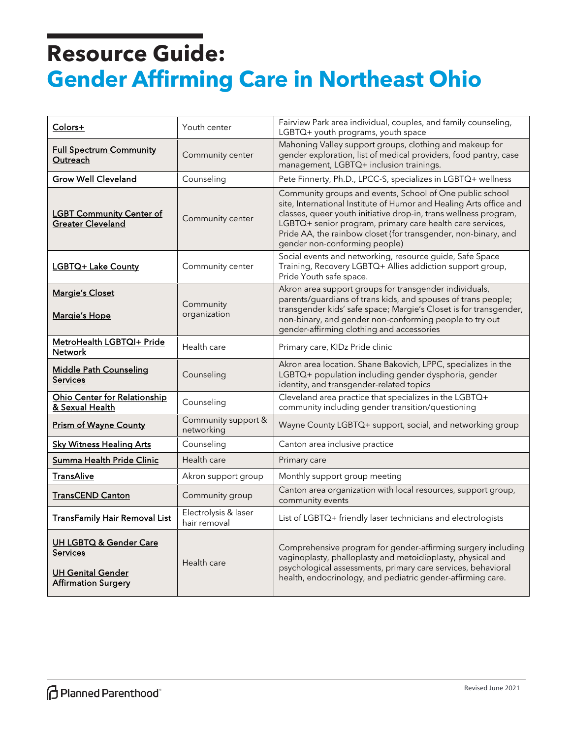| Colors+                                                                                                        | Youth center                         | Fairview Park area individual, couples, and family counseling,<br>LGBTQ+ youth programs, youth space                                                                                                                                                                                                                                                               |
|----------------------------------------------------------------------------------------------------------------|--------------------------------------|--------------------------------------------------------------------------------------------------------------------------------------------------------------------------------------------------------------------------------------------------------------------------------------------------------------------------------------------------------------------|
| <b>Full Spectrum Community</b><br>Outreach                                                                     | Community center                     | Mahoning Valley support groups, clothing and makeup for<br>gender exploration, list of medical providers, food pantry, case<br>management, LGBTQ+ inclusion trainings.                                                                                                                                                                                             |
| <b>Grow Well Cleveland</b>                                                                                     | Counseling                           | Pete Finnerty, Ph.D., LPCC-S, specializes in LGBTQ+ wellness                                                                                                                                                                                                                                                                                                       |
| <b>LGBT Community Center of</b><br><b>Greater Cleveland</b>                                                    | Community center                     | Community groups and events, School of One public school<br>site, International Institute of Humor and Healing Arts office and<br>classes, queer youth initiative drop-in, trans wellness program,<br>LGBTQ+ senior program, primary care health care services,<br>Pride AA, the rainbow closet (for transgender, non-binary, and<br>gender non-conforming people) |
| LGBTQ+ Lake County                                                                                             | Community center                     | Social events and networking, resource guide, Safe Space<br>Training, Recovery LGBTQ+ Allies addiction support group,<br>Pride Youth safe space.                                                                                                                                                                                                                   |
| <b>Margie's Closet</b><br>Margie's Hope                                                                        | Community<br>organization            | Akron area support groups for transgender individuals,<br>parents/guardians of trans kids, and spouses of trans people;<br>transgender kids' safe space; Margie's Closet is for transgender,<br>non-binary, and gender non-conforming people to try out<br>gender-affirming clothing and accessories                                                               |
| MetroHealth LGBTQI+ Pride<br><b>Network</b>                                                                    | Health care                          | Primary care, KIDz Pride clinic                                                                                                                                                                                                                                                                                                                                    |
| <b>Middle Path Counseling</b><br><b>Services</b>                                                               | Counseling                           | Akron area location. Shane Bakovich, LPPC, specializes in the<br>LGBTQ+ population including gender dysphoria, gender<br>identity, and transgender-related topics                                                                                                                                                                                                  |
| Ohio Center for Relationship<br>& Sexual Health                                                                | Counseling                           | Cleveland area practice that specializes in the LGBTQ+<br>community including gender transition/questioning                                                                                                                                                                                                                                                        |
| <b>Prism of Wayne County</b>                                                                                   | Community support &<br>networking    | Wayne County LGBTQ+ support, social, and networking group                                                                                                                                                                                                                                                                                                          |
| <b>Sky Witness Healing Arts</b>                                                                                | Counseling                           | Canton area inclusive practice                                                                                                                                                                                                                                                                                                                                     |
| Summa Health Pride Clinic                                                                                      | Health care                          | Primary care                                                                                                                                                                                                                                                                                                                                                       |
| <b>TransAlive</b>                                                                                              | Akron support group                  | Monthly support group meeting                                                                                                                                                                                                                                                                                                                                      |
| <b>TransCEND Canton</b>                                                                                        | Community group                      | Canton area organization with local resources, support group,<br>community events                                                                                                                                                                                                                                                                                  |
| <b>TransFamily Hair Removal List</b>                                                                           | Electrolysis & laser<br>hair removal | List of LGBTQ+ friendly laser technicians and electrologists                                                                                                                                                                                                                                                                                                       |
| <b>UH LGBTQ &amp; Gender Care</b><br><b>Services</b><br><b>UH Genital Gender</b><br><b>Affirmation Surgery</b> | Health care                          | Comprehensive program for gender-affirming surgery including<br>vaginoplasty, phalloplasty and metoidioplasty, physical and<br>psychological assessments, primary care services, behavioral<br>health, endocrinology, and pediatric gender-affirming care.                                                                                                         |